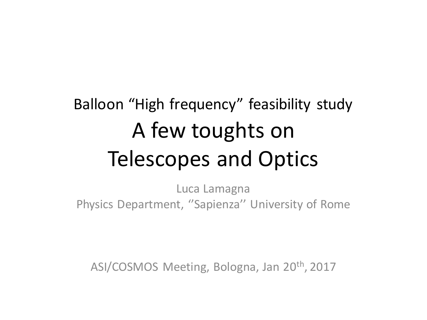### Balloon "High frequency" feasibility study A few toughts on Telescopes and Optics

Luca Lamagna Physics Department, ''Sapienza'' University of Rome

ASI/COSMOS Meeting, Bologna, Jan 20th, 2017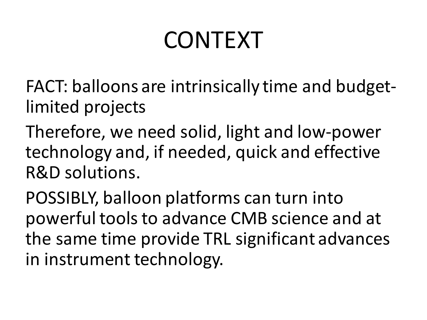# CONTEXT

FACT: balloons are intrinsically time and budgetlimited projects

Therefore, we need solid, light and low-power technology and, if needed, quick and effective R&D solutions.

POSSIBLY, balloon platforms can turn into powerfultoolsto advance CMB science and at the same time provide TRL significant advances in instrument technology.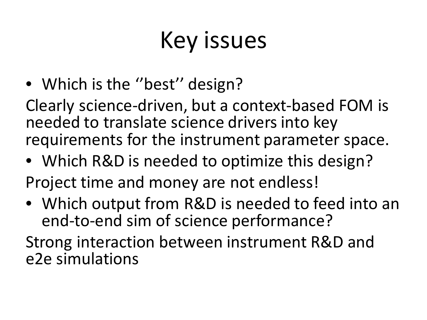# Key issues

• Which is the "best" design?

Clearly science-driven, but a context-based FOM is needed to translate science drivers into key requirements for the instrument parameter space.

- Which R&D is needed to optimize this design?
- Project time and money are not endless!
- Which output from R&D is needed to feed into an end-to-end sim of science performance?

Strong interaction between instrument R&D and e2e simulations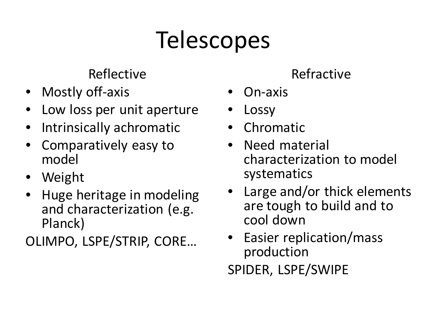# **Telescopes**

#### Reflective

- Mostly off-axis
- Low loss per unit aperture
- Intrinsically achromatic
- Comparatively easy to model
- Weight
- Huge heritage in modeling and characterization (e.g. Planck)

OLIMPO, LSPE/STRIP, CORE…

#### Refractive

- On-axis
- **Lossy**
- Chromatic
- Need material characterization to model systematics
- Large and/or thick elements are tough to build and to cool down
- Easier replication/mass production SPIDER, LSPE/SWIPE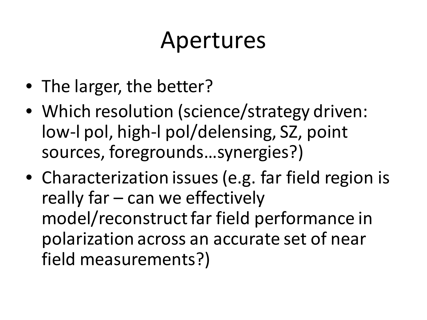### Apertures

- The larger, the better?
- Which resolution (science/strategy driven: low-l pol, high-l pol/delensing, SZ, point sources, foregrounds…synergies?)
- Characterization issues (e.g. far field region is really far – can we effectively model/reconstruct far field performance in polarization across an accurate set of near field measurements?)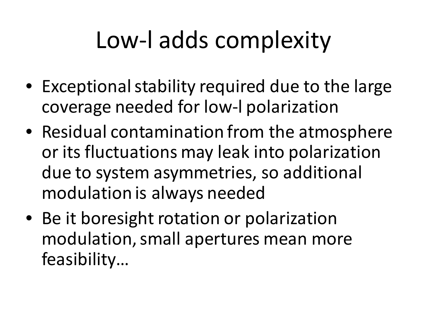# Low-l adds complexity

- Exceptional stability required due to the large coverage needed for low-l polarization
- Residual contamination from the atmosphere or its fluctuations may leak into polarization due to system asymmetries, so additional modulation is always needed
- Be it boresight rotation or polarization modulation, small apertures mean more feasibility…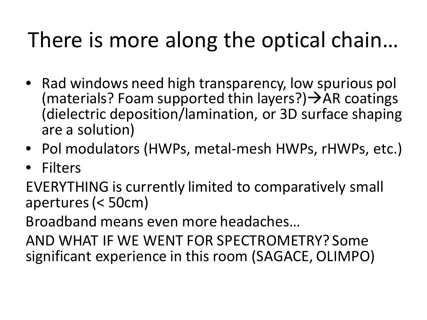### There is more along the optical chain…

- Rad windows need high transparency, low spurious pol (materials? Foam supported thin layers?)  $\rightarrow$  AR coatings (dielectric deposition/lamination, or 3D surface shaping are a solution)
- Pol modulators (HWPs, metal-mesh HWPs, rHWPs, etc.)
- **Filters**

EVERYTHING is currently limited to comparatively small apertures(< 50cm)

Broadband means even more headaches…

AND WHAT IF WE WENT FOR SPECTROMETRY? Some significant experience in this room (SAGACE, OLIMPO)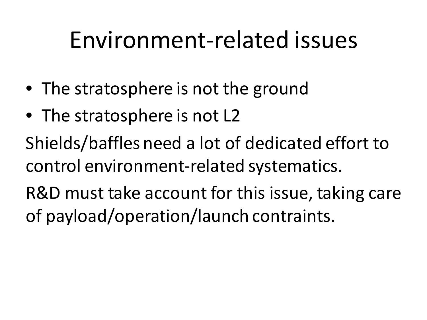## Environment-related issues

- The stratosphere is not the ground
- The stratosphere is not L2

Shields/baffles need a lot of dedicated effort to control environment-related systematics.

R&D must take account for this issue, taking care of payload/operation/launch contraints.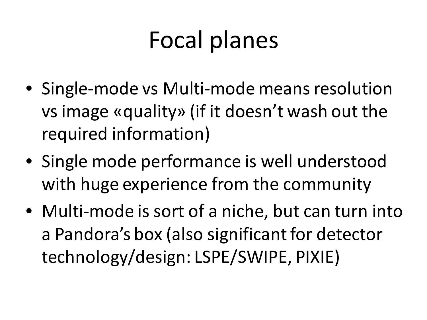## Focal planes

- Single-mode vs Multi-mode means resolution vs image «quality» (if it doesn't wash out the required information)
- Single mode performance is well understood with huge experience from the community
- Multi-mode is sort of a niche, but can turn into a Pandora's box (also significant for detector technology/design: LSPE/SWIPE, PIXIE)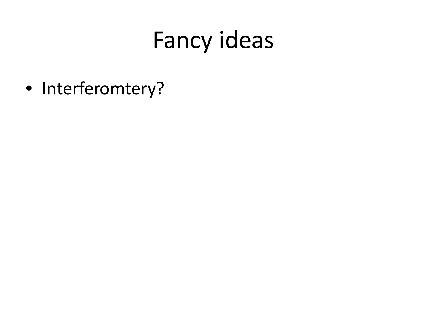• Interferomtery?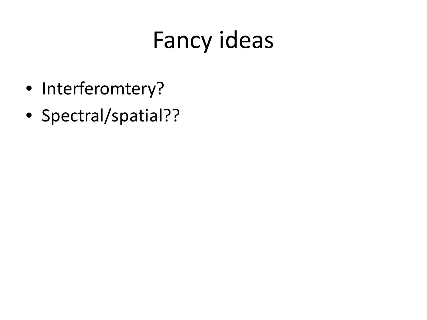- Interferomtery?
- Spectral/spatial??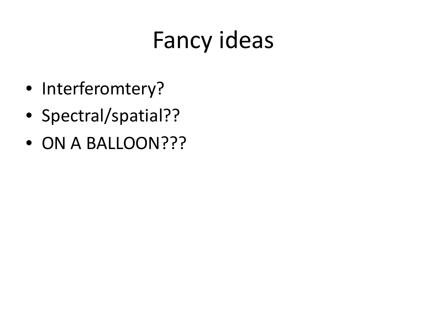- Interferomtery?
- Spectral/spatial??
- ON A BALLOON???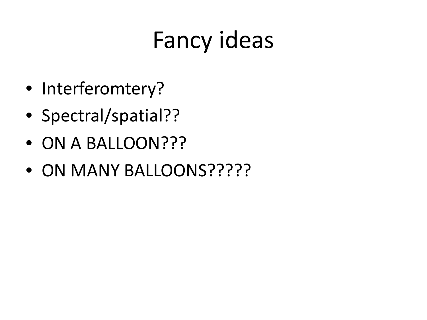- Interferomtery?
- Spectral/spatial??
- ON A BALLOON???
- ON MANY BALLOONS?????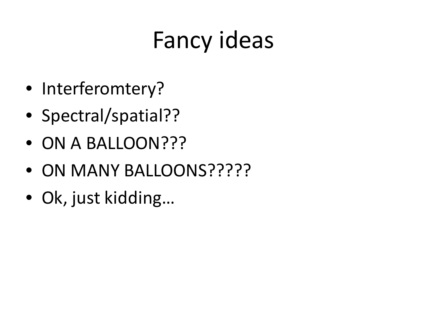- Interferomtery?
- Spectral/spatial??
- ON A BALLOON???
- ON MANY BALLOONS?????
- Ok, just kidding…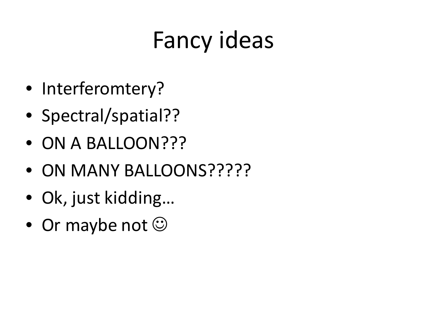- Interferomtery?
- Spectral/spatial??
- ON A BALLOON???
- ON MANY BALLOONS?????
- Ok, just kidding…
- Or maybe not  $\odot$